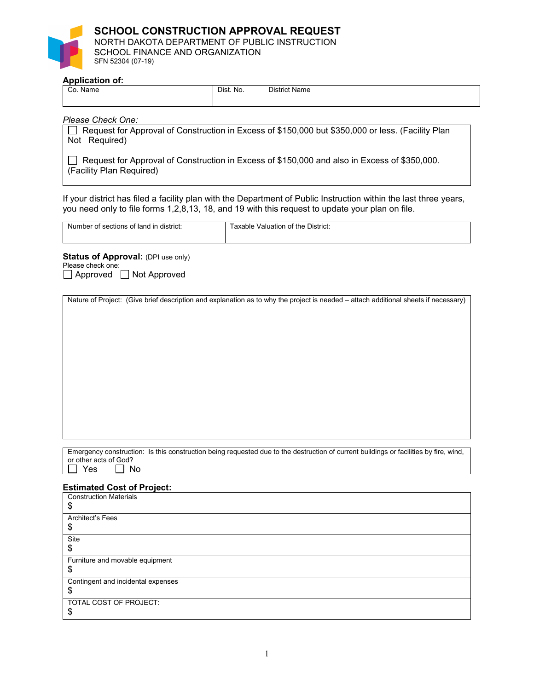## **SCHOOL CONSTRUCTION APPROVAL REQUEST** NORTH DAKOTA DEPARTMENT OF PUBLIC INSTRUCTION SCHOOL FINANCE AND ORGANIZATION SFN 52304 (07-19)

#### **Application of:**

| Co.<br>Name | Dist. No. | <b>District Name</b> |
|-------------|-----------|----------------------|
|             |           |                      |

## *Please Check One:*

Request for Approval of Construction in Excess of \$150,000 but \$350,000 or less. (Facility Plan Not Required)

Request for Approval of Construction in Excess of \$150,000 and also in Excess of \$350,000. (Facility Plan Required)

If your district has filed a facility plan with the Department of Public Instruction within the last three years, you need only to file forms 1,2,8,13, 18, and 19 with this request to update your plan on file.

| Num.<br>district<br>lanc<br>aner<br>ΩЕ<br>- -<br>JIO.<br>זר | District:<br>аш<br>' 11 |
|-------------------------------------------------------------|-------------------------|
|                                                             |                         |
|                                                             |                         |
|                                                             |                         |

**Status of Approval:** (DPI use only)

Please check one:

 $\Box$  Approved  $\Box$  Not Approved

Nature of Project: (Give brief description and explanation as to why the project is needed – attach additional sheets if necessary)

Emergency construction: Is this construction being requested due to the destruction of current buildings or facilities by fire, wind, or other acts of God?<br> $\Box$  Yes  $\Box$  N  $\Box$  No

## **Estimated Cost of Project:**

| <b>Construction Materials</b><br>\$ |
|-------------------------------------|
| Architect's Fees                    |
| \$                                  |
| Site                                |
| \$                                  |
| Furniture and movable equipment     |
| \$                                  |
| Contingent and incidental expenses  |
| \$                                  |
| TOTAL COST OF PROJECT:              |
|                                     |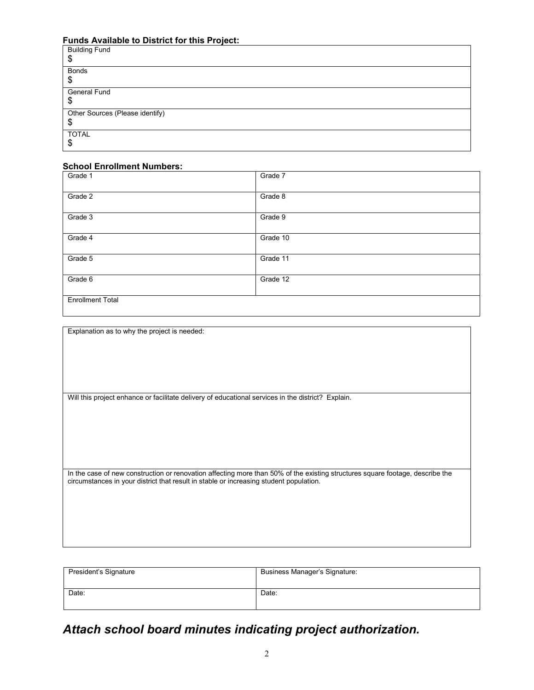# **Funds Available to District for this Project:**

| <b>Building Fund</b><br>\$            |
|---------------------------------------|
| <b>Bonds</b><br>\$                    |
| General Fund<br>\$                    |
| Other Sources (Please identify)<br>\$ |
| <b>TOTAL</b><br>\$                    |

# **School Enrollment Numbers:**

| Grade 1                 | Grade 7  |
|-------------------------|----------|
| Grade 2                 | Grade 8  |
| Grade 3                 | Grade 9  |
| Grade 4                 | Grade 10 |
| Grade 5                 | Grade 11 |
| Grade 6                 | Grade 12 |
| <b>Enrollment Total</b> |          |

Explanation as to why the project is needed:

Will this project enhance or facilitate delivery of educational services in the district? Explain.

In the case of new construction or renovation affecting more than 50% of the existing structures square footage, describe the circumstances in your district that result in stable or increasing student population.

| President's Signature | Business Manager's Signature: |
|-----------------------|-------------------------------|
| Date:                 | Date:                         |

# *Attach school board minutes indicating project authorization.*